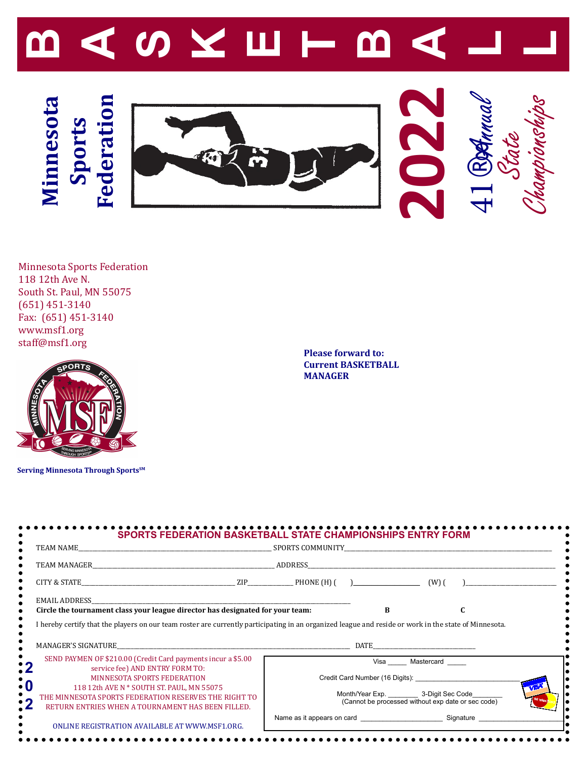

Minnesota Sports Federation 118 12th Ave N. South St. Paul, MN 55075 (651) 451-3140 Fax: (651) 451-3140 www.msf1.org staff@msf1.org



**Serving Minnesota Through SportsSM**

**Please forward to: Current BASKETBALL MANAGER**

| TEAM NAME SPORTS COMMUNITY                                                                                                                                                                                                                                                                       |  |                                                                                                                           |                 |  |
|--------------------------------------------------------------------------------------------------------------------------------------------------------------------------------------------------------------------------------------------------------------------------------------------------|--|---------------------------------------------------------------------------------------------------------------------------|-----------------|--|
|                                                                                                                                                                                                                                                                                                  |  |                                                                                                                           |                 |  |
|                                                                                                                                                                                                                                                                                                  |  |                                                                                                                           |                 |  |
| <b>EMAIL ADDRESS</b><br>Circle the tournament class your league director has designated for your team:                                                                                                                                                                                           |  | R                                                                                                                         |                 |  |
|                                                                                                                                                                                                                                                                                                  |  |                                                                                                                           |                 |  |
| I hereby certify that the players on our team roster are currently participating in an organized league and reside or work in the state of Minnesota.                                                                                                                                            |  |                                                                                                                           |                 |  |
| SEND PAYMEN OF \$210.00 (Credit Card payments incur a \$5.00<br>service fee) AND ENTRY FORM TO:<br><b>MINNESOTA SPORTS FEDERATION</b><br>118 12th AVE N * SOUTH ST. PAUL, MN 55075<br>THE MINNESOTA SPORTS FEDERATION RESERVES THE RIGHT TO<br>RETURN ENTRIES WHEN A TOURNAMENT HAS BEEN FILLED. |  | Credit Card Number (16 Digits):<br>Month/Year Exp. 3-Digit Sec Code<br>(Cannot be processed without exp date or sec code) | Visa Mastercard |  |